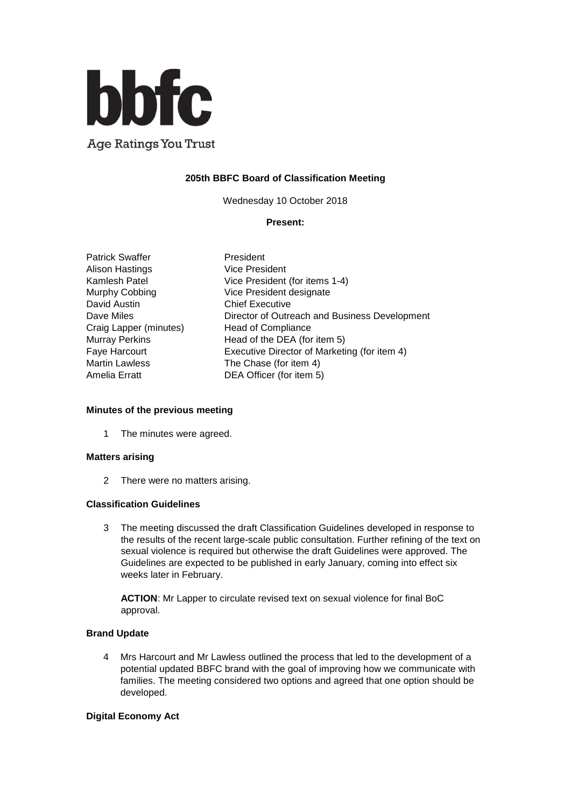

**Age Ratings You Trust** 

# **205th BBFC Board of Classification Meeting**

Wednesday 10 October 2018

#### **Present:**

Patrick Swaffer **President** Alison Hastings **Vice President** David Austin **Chief Executive** Craig Lapper (minutes) Head of Compliance

Kamlesh Patel Vice President (for items 1-4) Murphy Cobbing Vice President designate Dave Miles **Director of Outreach and Business Development** Murray Perkins Head of the DEA (for item 5) Faye Harcourt Executive Director of Marketing (for item 4) Martin Lawless The Chase (for item 4) Amelia Erratt DEA Officer (for item 5)

## **Minutes of the previous meeting**

1 The minutes were agreed.

## **Matters arising**

2 There were no matters arising.

#### **Classification Guidelines**

3 The meeting discussed the draft Classification Guidelines developed in response to the results of the recent large-scale public consultation. Further refining of the text on sexual violence is required but otherwise the draft Guidelines were approved. The Guidelines are expected to be published in early January, coming into effect six weeks later in February.

**ACTION**: Mr Lapper to circulate revised text on sexual violence for final BoC approval.

# **Brand Update**

4 Mrs Harcourt and Mr Lawless outlined the process that led to the development of a potential updated BBFC brand with the goal of improving how we communicate with families. The meeting considered two options and agreed that one option should be developed.

## **Digital Economy Act**